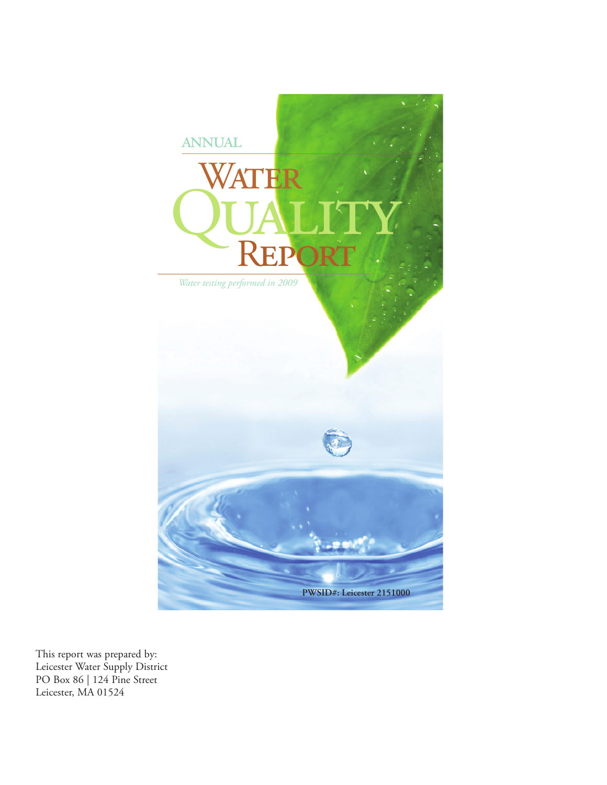

This report was prepared by: Leicester Water Supply District PO Box 86 | 124 Pine Street Leicester, MA 01524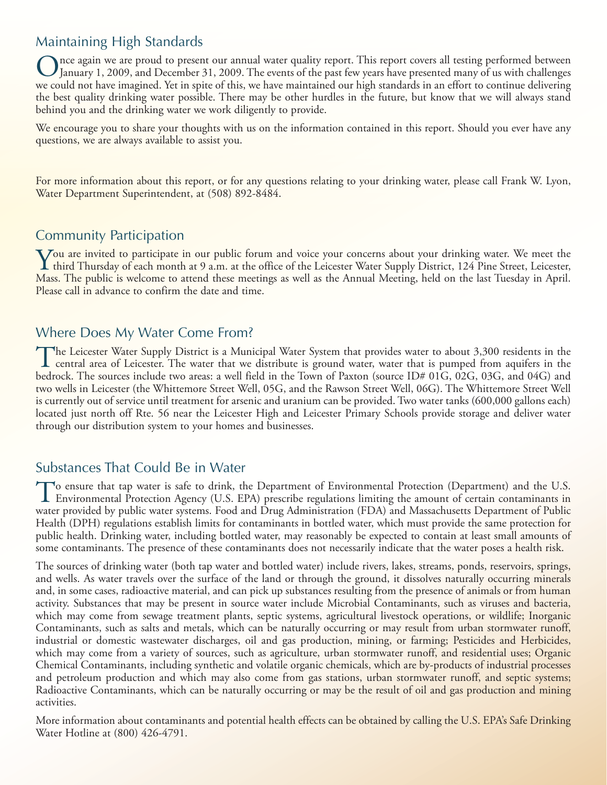# Maintaining High Standards

nce again we are proud to present our annual water quality report. This report covers all testing performed between January 1, 2009, and December 31, 2009. The events of the past few years have presented many of us with challenges we could not have imagined. Yet in spite of this, we have maintained our high standards in an effort to continue delivering the best quality drinking water possible. There may be other hurdles in the future, but know that we will always stand behind you and the drinking water we work diligently to provide.

We encourage you to share your thoughts with us on the information contained in this report. Should you ever have any questions, we are always available to assist you.

For more information about this report, or for any questions relating to your drinking water, please call Frank W. Lyon, Water Department Superintendent, at (508) 892-8484.

## Community Participation

You are invited to participate in our public forum and voice your concerns about your drinking water. We meet the<br>third Thursday of each month at 9 a.m. at the office of the Leicester Water Supply District, 124 Pine Street Mass. The public is welcome to attend these meetings as well as the Annual Meeting, held on the last Tuesday in April. Please call in advance to confirm the date and time.

#### Where Does My Water Come From?

The Leicester Water Supply District is a Municipal Water System that provides water to about 3,300 residents in the<br>central area of Leicester. The water that we distribute is ground water, water that is pumped from aquifer bedrock. The sources include two areas: a well field in the Town of Paxton (source ID# 01G, 02G, 03G, and 04G) and two wells in Leicester (the Whittemore Street Well, 05G, and the Rawson Street Well, 06G). The Whittemore Street Well is currently out of service until treatment for arsenic and uranium can be provided. Two water tanks (600,000 gallons each) located just north off Rte. 56 near the Leicester High and Leicester Primary Schools provide storage and deliver water through our distribution system to your homes and businesses.

## Substances That Could Be in Water

To ensure that tap water is safe to drink, the Department of Environmental Protection (Department) and the U.S.<br>Environmental Protection Agency (U.S. EPA) prescribe regulations limiting the amount of certain contaminants i water provided by public water systems. Food and Drug Administration (FDA) and Massachusetts Department of Public Health (DPH) regulations establish limits for contaminants in bottled water, which must provide the same protection for public health. Drinking water, including bottled water, may reasonably be expected to contain at least small amounts of some contaminants. The presence of these contaminants does not necessarily indicate that the water poses a health risk.

The sources of drinking water (both tap water and bottled water) include rivers, lakes, streams, ponds, reservoirs, springs, and wells. As water travels over the surface of the land or through the ground, it dissolves naturally occurring minerals and, in some cases, radioactive material, and can pick up substances resulting from the presence of animals or from human activity. Substances that may be present in source water include Microbial Contaminants, such as viruses and bacteria, which may come from sewage treatment plants, septic systems, agricultural livestock operations, or wildlife; Inorganic Contaminants, such as salts and metals, which can be naturally occurring or may result from urban stormwater runoff, industrial or domestic wastewater discharges, oil and gas production, mining, or farming; Pesticides and Herbicides, which may come from a variety of sources, such as agriculture, urban stormwater runoff, and residential uses; Organic Chemical Contaminants, including synthetic and volatile organic chemicals, which are by-products of industrial processes and petroleum production and which may also come from gas stations, urban stormwater runoff, and septic systems; Radioactive Contaminants, which can be naturally occurring or may be the result of oil and gas production and mining activities.

More information about contaminants and potential health effects can be obtained by calling the U.S. EPA's Safe Drinking Water Hotline at (800) 426-4791.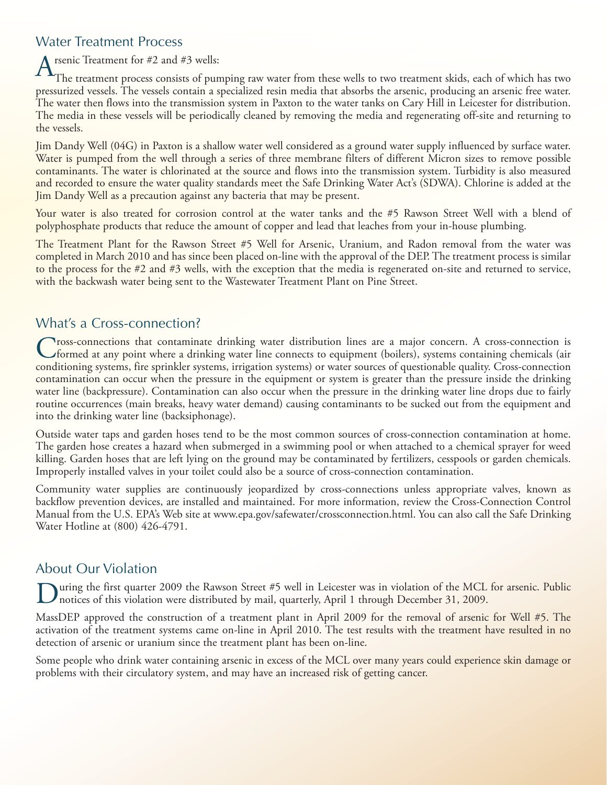## Water Treatment Process

# $A_{\text{TL}}^{\text{rsenic Treatment for #2 and #3 wells:}}$

The treatment process consists of pumping raw water from these wells to two treatment skids, each of which has two pressurized vessels. The vessels contain a specialized resin media that absorbs the arsenic, producing an arsenic free water. The water then flows into the transmission system in Paxton to the water tanks on Cary Hill in Leicester for distribution. The media in these vessels will be periodically cleaned by removing the media and regenerating off-site and returning to the vessels.

Jim Dandy Well (04G) in Paxton is a shallow water well considered as a ground water supply influenced by surface water. Water is pumped from the well through a series of three membrane filters of different Micron sizes to remove possible contaminants. The water is chlorinated at the source and flows into the transmission system. Turbidity is also measured and recorded to ensure the water quality standards meet the Safe Drinking Water Act's (SDWA). Chlorine is added at the Jim Dandy Well as a precaution against any bacteria that may be present.

Your water is also treated for corrosion control at the water tanks and the #5 Rawson Street Well with a blend of polyphosphate products that reduce the amount of copper and lead that leaches from your in-house plumbing.

The Treatment Plant for the Rawson Street #5 Well for Arsenic, Uranium, and Radon removal from the water was completed in March 2010 and has since been placed on-line with the approval of the DEP. The treatment process is similar to the process for the #2 and #3 wells, with the exception that the media is regenerated on-site and returned to service, with the backwash water being sent to the Wastewater Treatment Plant on Pine Street.

## What's a Cross-connection?

Tross-connections that contaminate drinking water distribution lines are a major concern. A cross-connection is formed at any point where a drinking water line connects to equipment (boilers), systems containing chemicals (air conditioning systems, fire sprinkler systems, irrigation systems) or water sources of questionable quality. Cross-connection contamination can occur when the pressure in the equipment or system is greater than the pressure inside the drinking water line (backpressure). Contamination can also occur when the pressure in the drinking water line drops due to fairly routine occurrences (main breaks, heavy water demand) causing contaminants to be sucked out from the equipment and into the drinking water line (backsiphonage).

Outside water taps and garden hoses tend to be the most common sources of cross-connection contamination at home. The garden hose creates a hazard when submerged in a swimming pool or when attached to a chemical sprayer for weed killing. Garden hoses that are left lying on the ground may be contaminated by fertilizers, cesspools or garden chemicals. Improperly installed valves in your toilet could also be a source of cross-connection contamination.

Community water supplies are continuously jeopardized by cross-connections unless appropriate valves, known as backflow prevention devices, are installed and maintained. For more information, review the Cross-Connection Control Manual from the U.S. EPA's Web site at www.epa.gov/safewater/crossconnection.html. You can also call the Safe Drinking Water Hotline at (800) 426-4791.

# About Our Violation

uring the first quarter 2009 the Rawson Street #5 well in Leicester was in violation of the MCL for arsenic. Public notices of this violation were distributed by mail, quarterly, April 1 through December 31, 2009.

MassDEP approved the construction of a treatment plant in April 2009 for the removal of arsenic for Well #5. The activation of the treatment systems came on-line in April 2010. The test results with the treatment have resulted in no detection of arsenic or uranium since the treatment plant has been on-line.

Some people who drink water containing arsenic in excess of the MCL over many years could experience skin damage or problems with their circulatory system, and may have an increased risk of getting cancer.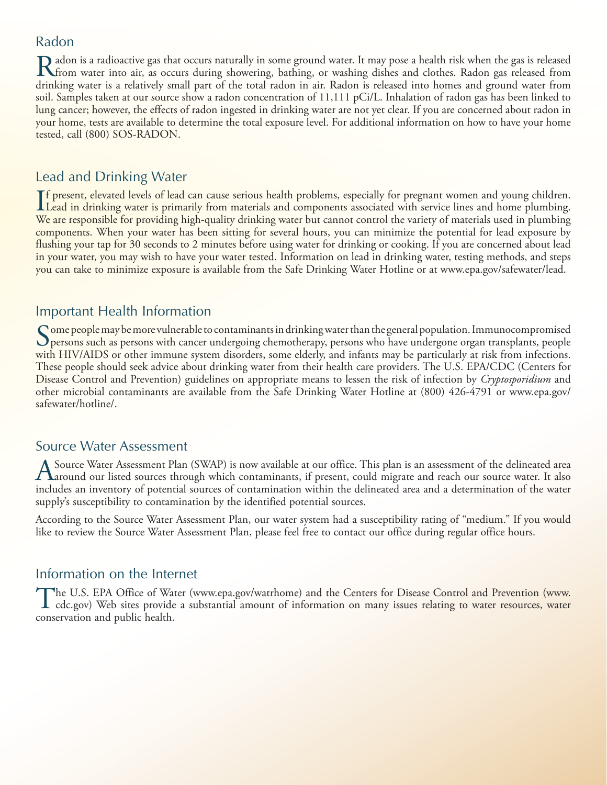#### Radon

Radon is a radioactive gas that occurs naturally in some ground water. It may pose a health risk when the gas is released<br>The water into air, as occurs during showering, bathing, or washing dishes and clothes. Radon gas re drinking water is a relatively small part of the total radon in air. Radon is released into homes and ground water from soil. Samples taken at our source show a radon concentration of 11,111 pCi/L. Inhalation of radon gas has been linked to lung cancer; however, the effects of radon ingested in drinking water are not yet clear. If you are concerned about radon in your home, tests are available to determine the total exposure level. For additional information on how to have your home tested, call (800) SOS-RADON.

# Lead and Drinking Water

If present, elevated levels of lead can cause serious health problems, especially for pregnant women and young children.<br>Lead in drinking water is primarily from materials and components associated with service lines and h Lead in drinking water is primarily from materials and components associated with service lines and home plumbing. We are responsible for providing high-quality drinking water but cannot control the variety of materials used in plumbing components. When your water has been sitting for several hours, you can minimize the potential for lead exposure by flushing your tap for 30 seconds to 2 minutes before using water for drinking or cooking. If you are concerned about lead in your water, you may wish to have your water tested. Information on lead in drinking water, testing methods, and steps you can take to minimize exposure is available from the Safe Drinking Water Hotline or at www.epa.gov/safewater/lead.

## Important Health Information

Some people may be more vulnerable to contaminants in drinking water than the general population. Immunocompromised  $\bigcup$  persons such as persons with cancer undergoing chemotherapy, persons who have undergone organ transplants, people with HIV/AIDS or other immune system disorders, some elderly, and infants may be particularly at risk from infections. These people should seek advice about drinking water from their health care providers. The U.S. EPA/CDC (Centers for Disease Control and Prevention) guidelines on appropriate means to lessen the risk of infection by *Cryptosporidium* and other microbial contaminants are available from the Safe Drinking Water Hotline at (800) 426-4791 or www.epa.gov/ safewater/hotline/.

#### Source Water Assessment

A Source Water Assessment Plan (SWAP) is now available at our office. This plan is an assessment of the delineated area<br>A around our listed sources through which contaminants, if present, could migrate and reach our source includes an inventory of potential sources of contamination within the delineated area and a determination of the water supply's susceptibility to contamination by the identified potential sources.

According to the Source Water Assessment Plan, our water system had a susceptibility rating of "medium." If you would like to review the Source Water Assessment Plan, please feel free to contact our office during regular office hours.

## Information on the Internet

The U.S. EPA Office of Water (www.epa.gov/watrhome) and the Centers for Disease Control and Prevention (www.<br>cdc.gov) Web sites provide a substantial amount of information on many issues relating to water resources, water conservation and public health.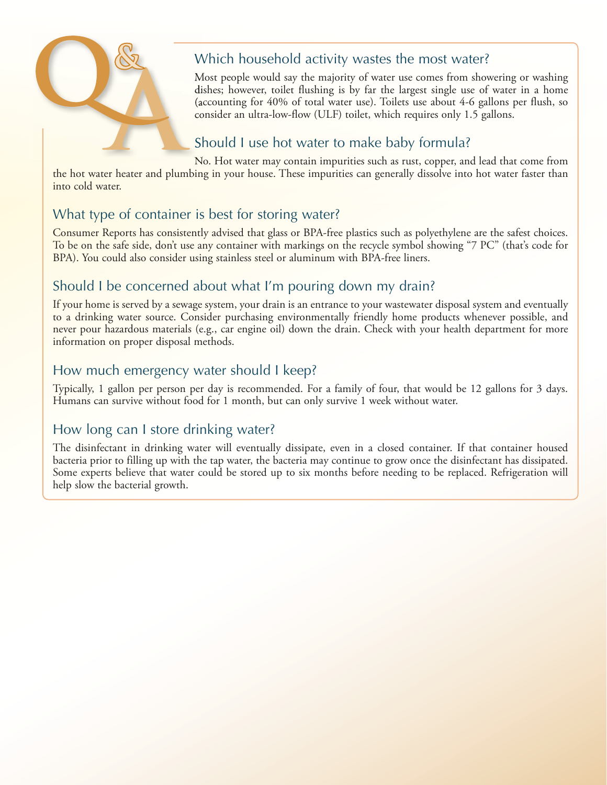

# Which household activity wastes the most water?

Most people would say the majority of water use comes from showering or washing dishes; however, toilet flushing is by far the largest single use of water in a home (accounting for 40% of total water use). Toilets use about 4-6 gallons per flush, so consider an ultra-low-flow (ULF) toilet, which requires only 1.5 gallons.

# Should I use hot water to make baby formula?

No. Hot water may contain impurities such as rust, copper, and lead that come from the hot water heater and plumbing in your house. These impurities can generally dissolve into hot water faster than into cold water.

# What type of container is best for storing water?

Consumer Reports has consistently advised that glass or BPA-free plastics such as polyethylene are the safest choices. To be on the safe side, don't use any container with markings on the recycle symbol showing "7 PC" (that's code for BPA). You could also consider using stainless steel or aluminum with BPA-free liners.

# Should I be concerned about what I'm pouring down my drain?

If your home is served by a sewage system, your drain is an entrance to your wastewater disposal system and eventually to a drinking water source. Consider purchasing environmentally friendly home products whenever possible, and never pour hazardous materials (e.g., car engine oil) down the drain. Check with your health department for more information on proper disposal methods.

# How much emergency water should I keep?

Typically, 1 gallon per person per day is recommended. For a family of four, that would be 12 gallons for 3 days. Humans can survive without food for 1 month, but can only survive 1 week without water.

# How long can I store drinking water?

The disinfectant in drinking water will eventually dissipate, even in a closed container. If that container housed bacteria prior to filling up with the tap water, the bacteria may continue to grow once the disinfectant has dissipated. Some experts believe that water could be stored up to six months before needing to be replaced. Refrigeration will help slow the bacterial growth.